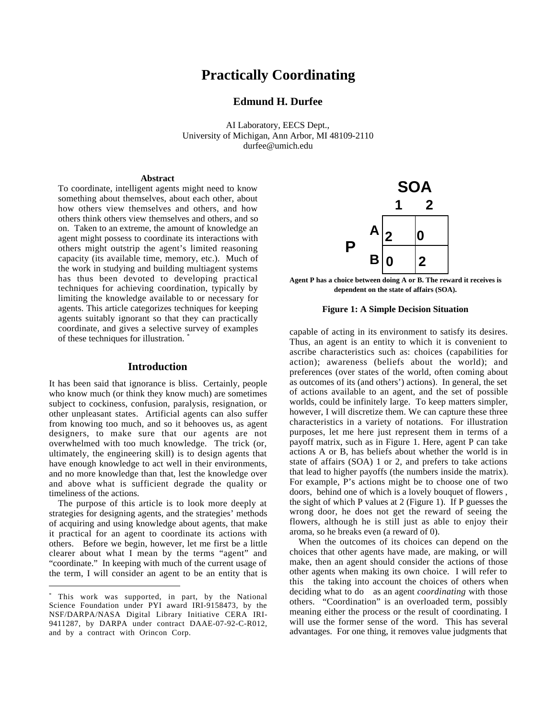# **Practically Coordinating**

# **Edmund H. Durfee**

AI Laboratory, EECS Dept., University of Michigan, Ann Arbor, MI 48109-2110 durfee@umich.edu

#### **Abstract**

To coordinate, intelligent agents might need to know something about themselves, about each other, about how others view themselves and others, and how others think others view themselves and others, and so on. Taken to an extreme, the amount of knowledge an agent might possess to coordinate its interactions with others might outstrip the agent's limited reasoning capacity (its available time, memory, etc.). Much of the work in studying and building multiagent systems has thus been devoted to developing practical techniques for achieving coordination, typically by limiting the knowledge available to or necessary for agents. This article categorizes techniques for keeping agents suitably ignorant so that they can practically coordinate, and gives a selective survey of examples of these techniques for illustration. \*

#### **Introduction**

It has been said that ignorance is bliss. Certainly, people who know much (or think they know much) are sometimes subject to cockiness, confusion, paralysis, resignation, or other unpleasant states. Artificial agents can also suffer from knowing too much, and so it behooves us, as agent designers, to make sure that our agents are not overwhelmed with too much knowledge. The trick (or, ultimately, the engineering skill) is to design agents that have enough knowledge to act well in their environments, and no more knowledge than that, lest the knowledge over and above what is sufficient degrade the quality or timeliness of the actions.

The purpose of this article is to look more deeply at strategies for designing agents, and the strategies' methods of acquiring and using knowledge about agents, that make it practical for an agent to coordinate its actions with others. Before we begin, however, let me first be a little clearer about what I mean by the terms "agent" and "coordinate." In keeping with much of the current usage of the term, I will consider an agent to be an entity that is

 $\overline{a}$ 



**Agent P has a choice between doing A or B. The reward it receives is dependent on the state of affairs (SOA).**

#### **Figure 1: A Simple Decision Situation**

capable of acting in its environment to satisfy its desires. Thus, an agent is an entity to which it is convenient to ascribe characteristics such as: choices (capabilities for action); awareness (beliefs about the world); and preferences (over states of the world, often coming about as outcomes of its (and others') actions). In general, the set of actions available to an agent, and the set of possible worlds, could be infinitely large. To keep matters simpler, however, I will discretize them. We can capture these three characteristics in a variety of notations. For illustration purposes, let me here just represent them in terms of a payoff matrix, such as in Figure 1. Here, agent P can take actions A or B, has beliefs about whether the world is in state of affairs (SOA) 1 or 2, and prefers to take actions that lead to higher payoffs (the numbers inside the matrix). For example, P's actions might be to choose one of two doors, behind one of which is a lovely bouquet of flowers , the sight of which P values at 2 (Figure 1). If P guesses the wrong door, he does not get the reward of seeing the flowers, although he is still just as able to enjoy their aroma, so he breaks even (a reward of 0).

When the outcomes of its choices can depend on the choices that other agents have made, are making, or will make, then an agent should consider the actions of those other agents when making its own choice. I will refer to this—the taking into account the choices of others when deciding what to do—as an agent *coordinating* with those others. "Coordination" is an overloaded term, possibly meaning either the process or the result of coordinating. I will use the former sense of the word. This has several advantages. For one thing, it removes value judgments that

<sup>\*</sup> This work was supported, in part, by the National Science Foundation under PYI award IRI-9158473, by the NSF/DARPA/NASA Digital Library Initiative CERA IRI-9411287, by DARPA under contract DAAE-07-92-C-R012, and by a contract with Orincon Corp.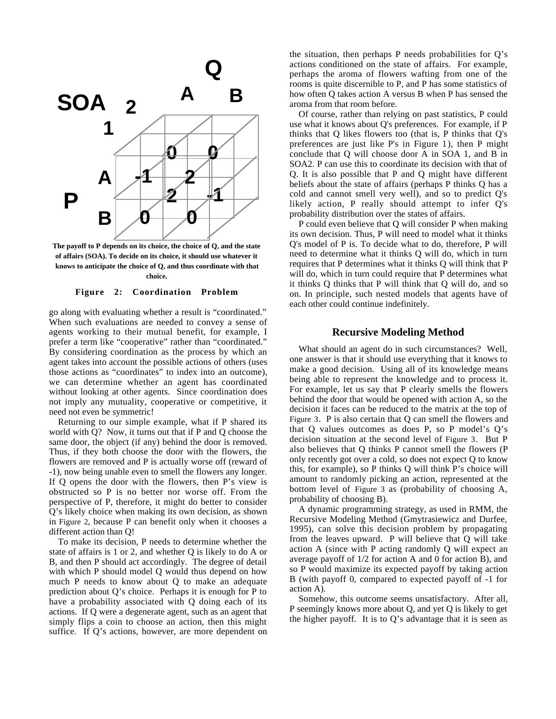

**The payoff to P depends on its choice, the choice of Q, and the state of affairs (SOA). To decide on its choice, it should use whatever it knows to anticipate the choice of Q, and thus coordinate with that choice.**

#### **Figure 2: Coordination Problem**

go along with evaluating whether a result is "coordinated." When such evaluations are needed to convey a sense of agents working to their mutual benefit, for example, I prefer a term like "cooperative" rather than "coordinated." By considering coordination as the process by which an agent takes into account the possible actions of others (uses those actions as "coordinates" to index into an outcome), we can determine whether an agent has coordinated without looking at other agents. Since coordination does not imply any mutuality, cooperative or competitive, it need not even be symmetric!

Returning to our simple example, what if P shared its world with Q? Now, it turns out that if P and Q choose the same door, the object (if any) behind the door is removed. Thus, if they both choose the door with the flowers, the flowers are removed and P is actually worse off (reward of -1), now being unable even to smell the flowers any longer. If Q opens the door with the flowers, then P's view is obstructed so P is no better nor worse off. From the perspective of P, therefore, it might do better to consider Q's likely choice when making its own decision, as shown in Figure 2, because P can benefit only when it chooses a different action than Q!

To make its decision, P needs to determine whether the state of affairs is 1 or 2, and whether Q is likely to do A or B, and then P should act accordingly. The degree of detail with which P should model Q would thus depend on how much P needs to know about Q to make an adequate prediction about Q's choice. Perhaps it is enough for P to have a probability associated with Q doing each of its actions. If Q were a degenerate agent, such as an agent that simply flips a coin to choose an action, then this might suffice. If Q's actions, however, are more dependent on

the situation, then perhaps P needs probabilities for Q's actions conditioned on the state of affairs. For example, perhaps the aroma of flowers wafting from one of the rooms is quite discernible to P, and P has some statistics of how often Q takes action A versus B when P has sensed the aroma from that room before.

Of course, rather than relying on past statistics, P could use what it knows about Q's preferences. For example, if P thinks that Q likes flowers too (that is, P thinks that Q's preferences are just like P's in Figure 1), then P might conclude that Q will choose door A in SOA 1, and B in SOA2. P can use this to coordinate its decision with that of Q. It is also possible that P and Q might have different beliefs about the state of affairs (perhaps P thinks Q has a cold and cannot smell very well), and so to predict Q's likely action, P really should attempt to infer Q's probability distribution over the states of affairs.

P could even believe that Q will consider P when making its own decision. Thus, P will need to model what it thinks Q's model of P is. To decide what to do, therefore, P will need to determine what it thinks Q will do, which in turn requires that P determines what it thinks Q will think that P will do, which in turn could require that P determines what it thinks Q thinks that P will think that Q will do, and so on. In principle, such nested models that agents have of each other could continue indefinitely.

#### **Recursive Modeling Method**

What should an agent do in such circumstances? Well, one answer is that it should use everything that it knows to make a good decision. Using all of its knowledge means being able to represent the knowledge and to process it. For example, let us say that P clearly smells the flowers behind the door that would be opened with action A, so the decision it faces can be reduced to the matrix at the top of Figure 3. P is also certain that Q can smell the flowers and that Q values outcomes as does P, so P model's Q's decision situation at the second level of Figure 3. But P also believes that Q thinks P cannot smell the flowers (P only recently got over a cold, so does not expect Q to know this, for example), so P thinks Q will think P's choice will amount to randomly picking an action, represented at the bottom level of Figure 3 as (probability of choosing A, probability of choosing B).

A dynamic programming strategy, as used in RMM, the Recursive Modeling Method (Gmytrasiewicz and Durfee, 1995), can solve this decision problem by propagating from the leaves upward. P will believe that Q will take action A (since with P acting randomly Q will expect an average payoff of 1/2 for action A and 0 for action B), and so P would maximize its expected payoff by taking action B (with payoff 0, compared to expected payoff of -1 for action A).

Somehow, this outcome seems unsatisfactory. After all, P seemingly knows more about Q, and yet Q is likely to get the higher payoff. It is to  $Q$ 's advantage that it is seen as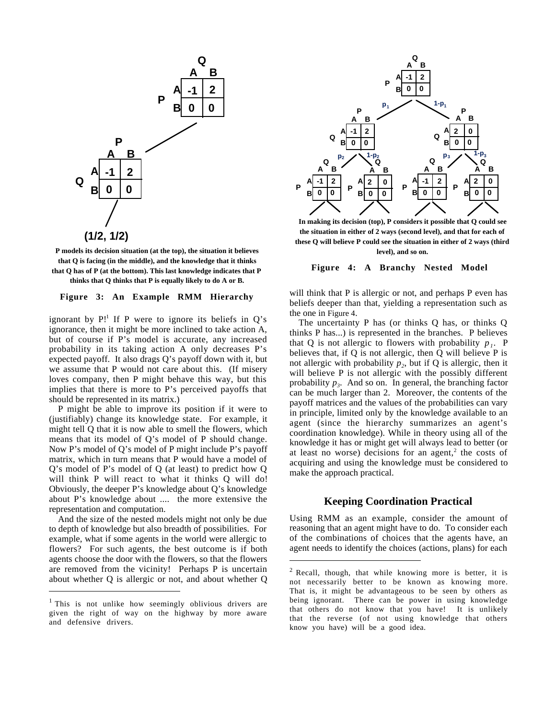



#### **Figure 3: An Example RMM Hierarchy**

ignorant by  $P!$ <sup>1</sup> If P were to ignore its beliefs in Q's ignorance, then it might be more inclined to take action A, but of course if P's model is accurate, any increased probability in its taking action A only decreases P's expected payoff. It also drags Q's payoff down with it, but we assume that P would not care about this. (If misery loves company, then P might behave this way, but this implies that there is more to P's perceived payoffs that should be represented in its matrix.)

P might be able to improve its position if it were to (justifiably) change its knowledge state. For example, it might tell Q that it is now able to smell the flowers, which means that its model of Q's model of P should change. Now P's model of Q's model of P might include P's payoff matrix, which in turn means that P would have a model of Q's model of P's model of Q (at least) to predict how Q will think P will react to what it thinks Q will do! Obviously, the deeper P's knowledge about Q's knowledge about P's knowledge about .... the more extensive the representation and computation.

And the size of the nested models might not only be due to depth of knowledge but also breadth of possibilities. For example, what if some agents in the world were allergic to flowers? For such agents, the best outcome is if both agents choose the door with the flowers, so that the flowers are removed from the vicinity! Perhaps P is uncertain about whether Q is allergic or not, and about whether Q

 $\overline{a}$ 



**In making its decision (top), P considers it possible that Q could see the situation in either of 2 ways (second level), and that for each of these Q will believe P could see the situation in either of 2 ways (third level), and so on.**

**Figure 4: A Branchy Nested Model**

will think that P is allergic or not, and perhaps P even has beliefs deeper than that, yielding a representation such as the one in Figure 4.

The uncertainty P has (or thinks Q has, or thinks Q thinks P has...) is represented in the branches. P believes that Q is not allergic to flowers with probability  $p_1$ . P believes that, if Q is not allergic, then Q will believe P is not allergic with probability  $p_2$ , but if Q is allergic, then it will believe P is not allergic with the possibly different probability  $p_3$ . And so on. In general, the branching factor can be much larger than 2. Moreover, the contents of the payoff matrices and the values of the probabilities can vary in principle, limited only by the knowledge available to an agent (since the hierarchy summarizes an agent's coordination knowledge). While in theory using all of the knowledge it has or might get will always lead to better (or at least no worse) decisions for an agent, $2$  the costs of acquiring and using the knowledge must be considered to make the approach practical.

#### **Keeping Coordination Practical**

Using RMM as an example, consider the amount of reasoning that an agent might have to do. To consider each of the combinations of choices that the agents have, an agent needs to identify the choices (actions, plans) for each

 $\overline{a}$ 

<sup>&</sup>lt;sup>1</sup> This is not unlike how seemingly oblivious drivers are given the right of way on the highway by more aware and defensive drivers.

 $<sup>2</sup>$  Recall, though, that while knowing more is better, it is</sup> not necessarily better to be known as knowing more. That is, it might be advantageous to be seen by others as being ignorant. There can be power in using knowledge that others do not know that you have! It is unlikely that the reverse (of not using knowledge that others know you have) will be a good idea.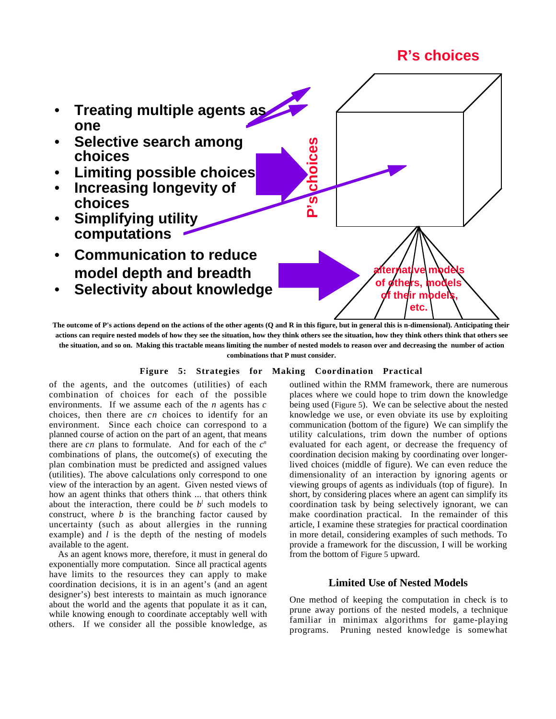# **R's choices**



**The outcome of P's actions depend on the actions of the other agents (Q and R in this figure, but in general this is n-dimensional). Anticipating their actions can require nested models of how they see the situation, how they think others see the situation, how they think others think that others see the situation, and so on. Making this tractable means limiting the number of nested models to reason over and decreasing the number of action combinations that P must consider.**

### **Figure 5: Strategies for Making Coordination Practical**

of the agents, and the outcomes (utilities) of each combination of choices for each of the possible environments. If we assume each of the *n* agents has *c* choices, then there are *cn* choices to identify for an environment. Since each choice can correspond to a planned course of action on the part of an agent, that means there are  $cn$  plans to formulate. And for each of the  $c<sup>n</sup>$ combinations of plans, the outcome(s) of executing the plan combination must be predicted and assigned values (utilities). The above calculations only correspond to one view of the interaction by an agent. Given nested views of how an agent thinks that others think ... that others think about the interaction, there could be  $b<sup>l</sup>$  such models to construct, where *b* is the branching factor caused by uncertainty (such as about allergies in the running example) and *l* is the depth of the nesting of models available to the agent.

As an agent knows more, therefore, it must in general do exponentially more computation. Since all practical agents have limits to the resources they can apply to make coordination decisions, it is in an agent's (and an agent designer's) best interests to maintain as much ignorance about the world and the agents that populate it as it can, while knowing enough to coordinate acceptably well with others. If we consider all the possible knowledge, as outlined within the RMM framework, there are numerous places where we could hope to trim down the knowledge being used (Figure 5). We can be selective about the nested knowledge we use, or even obviate its use by exploiting communication (bottom of the figure) We can simplify the utility calculations, trim down the number of options evaluated for each agent, or decrease the frequency of coordination decision making by coordinating over longerlived choices (middle of figure). We can even reduce the dimensionality of an interaction by ignoring agents or viewing groups of agents as individuals (top of figure). In short, by considering places where an agent can simplify its coordination task by being selectively ignorant, we can make coordination practical. In the remainder of this article, I examine these strategies for practical coordination in more detail, considering examples of such methods. To provide a framework for the discussion, I will be working from the bottom of Figure 5 upward.

# **Limited Use of Nested Models**

One method of keeping the computation in check is to prune away portions of the nested models, a technique familiar in minimax algorithms for game-playing programs. Pruning nested knowledge is somewhat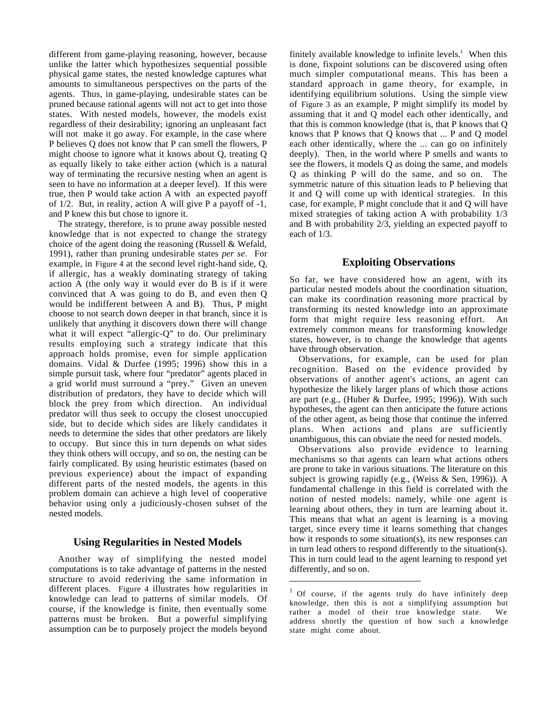different from game-playing reasoning, however, because unlike the latter which hypothesizes sequential possible physical game states, the nested knowledge captures what amounts to simultaneous perspectives on the parts of the agents. Thus, in game-playing, undesirable states can be pruned because rational agents will not act to get into those states. With nested models, however, the models exist regardless of their desirability; ignoring an unpleasant fact will not make it go away. For example, in the case where P believes Q does not know that P can smell the flowers, P might choose to ignore what it knows about Q, treating Q as equally likely to take either action (which is a natural way of terminating the recursive nesting when an agent is seen to have no information at a deeper level). If this were true, then P would take action A with an expected payoff of 1/2. But, in reality, action A will give P a payoff of -1, and P knew this but chose to ignore it.

The strategy, therefore, is to prune away possible nested knowledge that is not expected to change the strategy choice of the agent doing the reasoning (Russell & Wefald, 1991), rather than pruning undesirable states *per se*. For example, in Figure 4 at the second level right-hand side, Q, if allergic, has a weakly dominating strategy of taking action A (the only way it would ever do B is if it were convinced that A was going to do B, and even then Q would be indifferent between A and B). Thus, P might choose to not search down deeper in that branch, since it is unlikely that anything it discovers down there will change what it will expect "allergic-Q" to do. Our preliminary results employing such a strategy indicate that this approach holds promise, even for simple application domains. Vidal & Durfee (1995; 1996) show this in a simple pursuit task, where four "predator" agents placed in a grid world must surround a "prey." Given an uneven distribution of predators, they have to decide which will block the prey from which direction. An individual predator will thus seek to occupy the closest unoccupied side, but to decide which sides are likely candidates it needs to determine the sides that other predators are likely to occupy. But since this in turn depends on what sides they think others will occupy, and so on, the nesting can be fairly complicated. By using heuristic estimates (based on previous experience) about the impact of expanding different parts of the nested models, the agents in this problem domain can achieve a high level of cooperative behavior using only a judiciously-chosen subset of the nested models.

### **Using Regularities in Nested Models**

Another way of simplifying the nested model computations is to take advantage of patterns in the nested structure to avoid rederiving the same information in different places. Figure 4 illustrates how regularities in knowledge can lead to patterns of similar models. Of course, if the knowledge is finite, then eventually some patterns must be broken. But a powerful simplifying assumption can be to purposely project the models beyond

finitely available knowledge to infinite levels.<sup>1</sup> When this is done, fixpoint solutions can be discovered using often much simpler computational means. This has been a standard approach in game theory, for example, in identifying equilibrium solutions. Using the simple view of Figure 3 as an example, P might simplify its model by assuming that it and Q model each other identically, and that this is common knowledge (that is, that P knows that Q knows that P knows that Q knows that ... P and Q model each other identically, where the ... can go on infinitely deeply). Then, in the world where P smells and wants to see the flowers, it models Q as doing the same, and models Q as thinking P will do the same, and so on. The symmetric nature of this situation leads to P believing that it and Q will come up with identical strategies. In this case, for example, P might conclude that it and Q will have mixed strategies of taking action A with probability 1/3 and B with probability 2/3, yielding an expected payoff to each of 1/3.

## **Exploiting Observations**

So far, we have considered how an agent, with its particular nested models about the coordination situation, can make its coordination reasoning more practical by transforming its nested knowledge into an approximate form that might require less reasoning effort. An extremely common means for transforming knowledge states, however, is to change the knowledge that agents have through observation.

Observations, for example, can be used for plan recognition. Based on the evidence provided by observations of another agent's actions, an agent can hypothesize the likely larger plans of which those actions are part (e.g., (Huber & Durfee, 1995; 1996)). With such hypotheses, the agent can then anticipate the future actions of the other agent, as being those that continue the inferred plans. When actions and plans are sufficiently unambiguous, this can obviate the need for nested models.

Observations also provide evidence to learning mechanisms so that agents can learn what actions others are prone to take in various situations. The literature on this subject is growing rapidly (e.g., (Weiss & Sen, 1996)). A fundamental challenge in this field is correlated with the notion of nested models: namely, while one agent is learning about others, they in turn are learning about it. This means that what an agent is learning is a moving target, since every time it learns something that changes how it responds to some situation(s), its new responses can in turn lead others to respond differently to the situation(s). This in turn could lead to the agent learning to respond yet differently, and so on.

 $\overline{a}$ 

<sup>&</sup>lt;sup>1</sup> Of course, if the agents truly do have infinitely deep knowledge, then this is not a simplifying assumption but rather a model of their true knowledge state. We address shortly the question of how such a knowledge state might come about.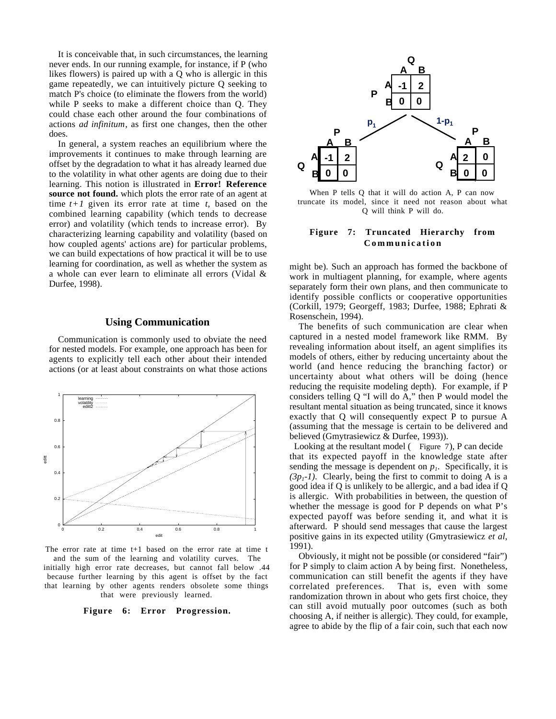It is conceivable that, in such circumstances, the learning never ends. In our running example, for instance, if P (who likes flowers) is paired up with a Q who is allergic in this game repeatedly, we can intuitively picture Q seeking to match P's choice (to eliminate the flowers from the world) while P seeks to make a different choice than Q. They could chase each other around the four combinations of actions *ad infinitum*, as first one changes, then the other does.

In general, a system reaches an equilibrium where the improvements it continues to make through learning are offset by the degradation to what it has already learned due to the volatility in what other agents are doing due to their learning. This notion is illustrated in **Error! Reference source not found.** which plots the error rate of an agent at time  $t+1$  given its error rate at time  $t$ , based on the combined learning capability (which tends to decrease error) and volatility (which tends to increase error). By characterizing learning capability and volatility (based on how coupled agents' actions are) for particular problems, we can build expectations of how practical it will be to use learning for coordination, as well as whether the system as a whole can ever learn to eliminate all errors (Vidal & Durfee, 1998).

#### **Using Communication**

Communication is commonly used to obviate the need for nested models. For example, one approach has been for agents to explicitly tell each other about their intended actions (or at least about constraints on what those actions



The error rate at time t+1 based on the error rate at time t and the sum of the learning and volatility curves. The initially high error rate decreases, but cannot fall below .44 because further learning by this agent is offset by the fact that learning by other agents renders obsolete some things that were previously learned.

**Figure 6: Error Progression.**



When P tells Q that it will do action A, P can now truncate its model, since it need not reason about what Q will think P will do.

#### **Figure 7: Truncated Hierarchy from Communication**

might be). Such an approach has formed the backbone of work in multiagent planning, for example, where agents separately form their own plans, and then communicate to identify possible conflicts or cooperative opportunities (Corkill, 1979; Georgeff, 1983; Durfee, 1988; Ephrati & Rosenschein, 1994).

The benefits of such communication are clear when captured in a nested model framework like RMM. By revealing information about itself, an agent simplifies its models of others, either by reducing uncertainty about the world (and hence reducing the branching factor) or uncertainty about what others will be doing (hence reducing the requisite modeling depth). For example, if P considers telling Q "I will do A," then P would model the resultant mental situation as being truncated, since it knows exactly that Q will consequently expect P to pursue A (assuming that the message is certain to be delivered and believed (Gmytrasiewicz & Durfee, 1993)).

 Looking at the resultant model ( Figure 7), P can decide that its expected payoff in the knowledge state after sending the message is dependent on  $p_i$ . Specifically, it is  $(3p_1-1)$ . Clearly, being the first to commit to doing A is a good idea if Q is unlikely to be allergic, and a bad idea if Q is allergic. With probabilities in between, the question of whether the message is good for P depends on what P's expected payoff was before sending it, and what it is afterward. P should send messages that cause the largest positive gains in its expected utility (Gmytrasiewicz *et al*, 1991).

Obviously, it might not be possible (or considered "fair") for P simply to claim action A by being first. Nonetheless, communication can still benefit the agents if they have correlated preferences. That is, even with some randomization thrown in about who gets first choice, they can still avoid mutually poor outcomes (such as both choosing A, if neither is allergic). They could, for example, agree to abide by the flip of a fair coin, such that each now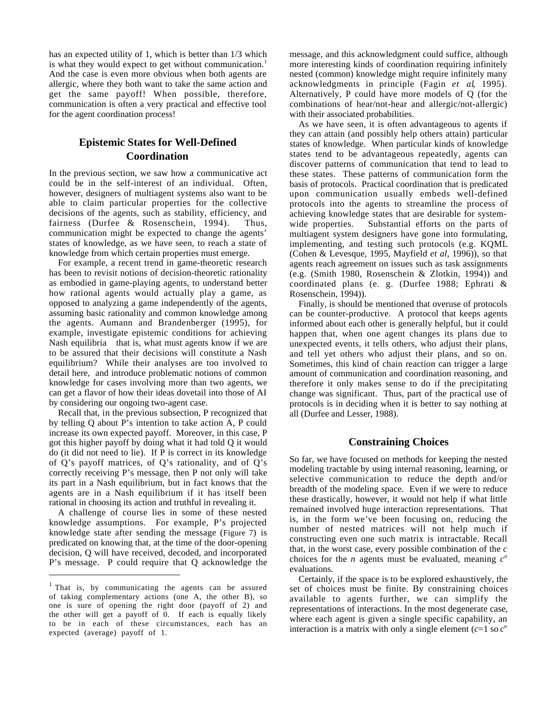has an expected utility of 1, which is better than 1/3 which is what they would expect to get without communication.<sup>1</sup> And the case is even more obvious when both agents are allergic, where they both want to take the same action and get the same payoff! When possible, therefore, communication is often a very practical and effective tool for the agent coordination process!

# **Epistemic States for Well-Defined Coordination**

In the previous section, we saw how a communicative act could be in the self-interest of an individual. Often, however, designers of multiagent systems also want to be able to claim particular properties for the collective decisions of the agents, such as stability, efficiency, and fairness (Durfee & Rosenschein, 1994). Thus, communication might be expected to change the agents' states of knowledge, as we have seen, to reach a state of knowledge from which certain properties must emerge.

For example, a recent trend in game-theoretic research has been to revisit notions of decision-theoretic rationality as embodied in game-playing agents, to understand better how rational agents would actually play a game, as opposed to analyzing a game independently of the agents, assuming basic rationality and common knowledge among the agents. Aumann and Brandenberger (1995), for example, investigate epistemic conditions for achieving Nash equilibria—that is, what must agents know if we are to be assured that their decisions will constitute a Nash equilibrium? While their analyses are too involved to detail here, and introduce problematic notions of common knowledge for cases involving more than two agents, we can get a flavor of how their ideas dovetail into those of AI by considering our ongoing two-agent case.

Recall that, in the previous subsection, P recognized that by telling Q about P's intention to take action A, P could increase its own expected payoff. Moreover, in this case, P got this higher payoff by doing what it had told Q it would do (it did not need to lie). If P is correct in its knowledge of Q's payoff matrices, of Q's rationality, and of Q's correctly receiving P's message, then P not only will take its part in a Nash equilibrium, but in fact knows that the agents are in a Nash equilibrium if it has itself been rational in choosing its action and truthful in revealing it.

A challenge of course lies in some of these nested knowledge assumptions. For example, P's projected knowledge state after sending the message (Figure 7) is predicated on knowing that, at the time of the door-opening decision, Q will have received, decoded, and incorporated P's message. P could require that Q acknowledge the

 $\overline{a}$ 

message, and this acknowledgment could suffice, although more interesting kinds of coordination requiring infinitely nested (common) knowledge might require infinitely many acknowledgments in principle (Fagin *et al*, 1995). Alternatively, P could have more models of Q (for the combinations of hear/not-hear and allergic/not-allergic) with their associated probabilities.

As we have seen, it is often advantageous to agents if they can attain (and possibly help others attain) particular states of knowledge. When particular kinds of knowledge states tend to be advantageous repeatedly, agents can discover patterns of communication that tend to lead to these states. These patterns of communication form the basis of protocols. Practical coordination that is predicated upon communication usually embeds well-defined protocols into the agents to streamline the process of achieving knowledge states that are desirable for systemwide properties. Substantial efforts on the parts of multiagent system designers have gone into formulating, implementing, and testing such protocols (e.g. KQML (Cohen & Levesque, 1995, Mayfield *et al,* 1996)), so that agents reach agreement on issues such as task assignments (e.g. (Smith 1980, Rosenschein & Zlotkin, 1994)) and coordinated plans (e. g. (Durfee 1988; Ephrati & Rosenschein, 1994)).

Finally, is should be mentioned that overuse of protocols can be counter-productive. A protocol that keeps agents informed about each other is generally helpful, but it could happen that, when one agent changes its plans due to unexpected events, it tells others, who adjust their plans, and tell yet others who adjust their plans, and so on. Sometimes, this kind of chain reaction can trigger a large amount of communication and coordination reasoning, and therefore it only makes sense to do if the precipitating change was significant. Thus, part of the practical use of protocols is in deciding when it is better to say nothing at all (Durfee and Lesser, 1988).

# **Constraining Choices**

So far, we have focused on methods for keeping the nested modeling tractable by using internal reasoning, learning, or selective communication to reduce the depth and/or breadth of the modeling space. Even if we were to reduce these drastically, however, it would not help if what little remained involved huge interaction representations. That is, in the form we've been focusing on, reducing the number of nested matrices will not help much if constructing even one such matrix is intractable. Recall that, in the worst case, every possible combination of the *c* choices for the *n* agents must be evaluated, meaning  $c^n$ evaluations.

Certainly, if the space is to be explored exhaustively, the set of choices must be finite. By constraining choices available to agents further, we can simplify the representations of interactions. In the most degenerate case, where each agent is given a single specific capability, an interaction is a matrix with only a single element  $(c=1 \text{ so } c^n)$ 

<sup>1</sup> That is, by communicating the agents can be assured of taking complementary actions (one A, the other B), so one is sure of opening the right door (payoff of 2) and the other will get a payoff of 0. If each is equally likely to be in each of these circumstances, each has an expected (average) payoff of 1.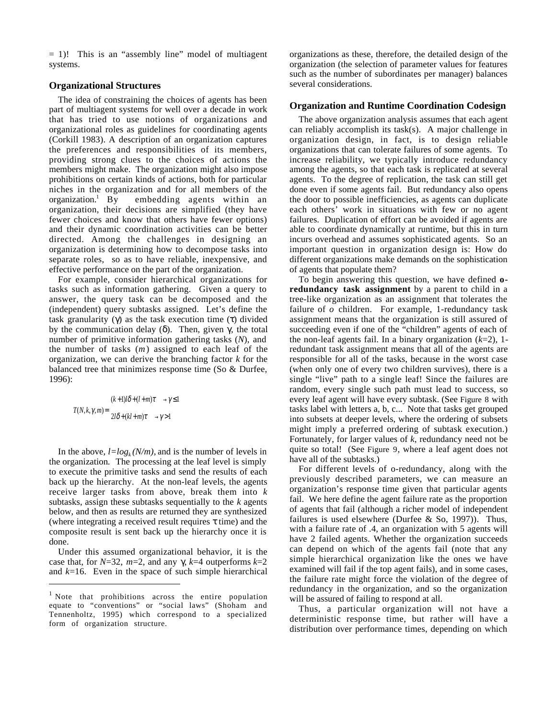$= 1$ )! This is an "assembly line" model of multiagent systems.

### **Organizational Structures**

The idea of constraining the choices of agents has been part of multiagent systems for well over a decade in work that has tried to use notions of organizations and organizational roles as guidelines for coordinating agents (Corkill 1983). A description of an organization captures the preferences and responsibilities of its members, providing strong clues to the choices of actions the members might make. The organization might also impose prohibitions on certain kinds of actions, both for particular niches in the organization and for all members of the organization.<sup>1</sup> By embedding agents within an organization, their decisions are simplified (they have fewer choices and know that others have fewer options) and their dynamic coordination activities can be better directed. Among the challenges in designing an organization is determining how to decompose tasks into separate roles, so as to have reliable, inexpensive, and effective performance on the part of the organization.

For example, consider hierarchical organizations for tasks such as information gathering. Given a query to answer, the query task can be decomposed and the (independent) query subtasks assigned. Let's define the task granularity (γ) as the task execution time (τ) divided by the communication delay (δ). Then, given γ, the total number of primitive information gathering tasks (*N*), and the number of tasks (*m*) assigned to each leaf of the organization, we can derive the branching factor *k* for the balanced tree that minimizes response time (So & Durfee, 1996):

$$
T(N,k,\gamma,m) = \begin{cases} (k+1)l\delta + (l+m)\tau \longrightarrow \gamma \le 1\\ 2l\delta + (kl+m)\tau \longrightarrow \gamma > 1 \end{cases}
$$

 $\overline{a}$ 

In the above,  $l = log_k(N/m)$ , and is the number of levels in the organization*.* The processing at the leaf level is simply to execute the primitive tasks and send the results of each back up the hierarchy. At the non-leaf levels, the agents receive larger tasks from above, break them into *k* subtasks, assign these subtasks sequentially to the *k* agents below, and then as results are returned they are synthesized (where integrating a received result requires  $\tau$  time) and the composite result is sent back up the hierarchy once it is done.

Under this assumed organizational behavior, it is the case that, for *N*=32, *m*=2, and any γ, *k*=4 outperforms *k*=2 and *k*=16. Even in the space of such simple hierarchical organizations as these, therefore, the detailed design of the organization (the selection of parameter values for features such as the number of subordinates per manager) balances several considerations.

### **Organization and Runtime Coordination Codesign**

The above organization analysis assumes that each agent can reliably accomplish its task(s). A major challenge in organization design, in fact, is to design reliable organizations that can tolerate failures of some agents. To increase reliability, we typically introduce redundancy among the agents, so that each task is replicated at several agents. To the degree of replication, the task can still get done even if some agents fail. But redundancy also opens the door to possible inefficiencies, as agents can duplicate each others' work in situations with few or no agent failures. Duplication of effort can be avoided if agents are able to coordinate dynamically at runtime, but this in turn incurs overhead and assumes sophisticated agents. So an important question in organization design is: How do different organizations make demands on the sophistication of agents that populate them?

To begin answering this question, we have defined **oredundancy task assignment** by a parent to child in a tree-like organization as an assignment that tolerates the failure of *o* children. For example, 1-redundancy task assignment means that the organization is still assured of succeeding even if one of the "children" agents of each of the non-leaf agents fail. In a binary organization (*k*=2), 1 redundant task assignment means that all of the agents are responsible for all of the tasks, because in the worst case (when only one of every two children survives), there is a single "live" path to a single leaf! Since the failures are random, every single such path must lead to success, so every leaf agent will have every subtask. (See Figure 8 with tasks label with letters a, b, c... Note that tasks get grouped into subsets at deeper levels, where the ordering of subsets might imply a preferred ordering of subtask execution.) Fortunately, for larger values of *k*, redundancy need not be quite so total! (See Figure 9, where a leaf agent does not have all of the subtasks.)

For different levels of o-redundancy, along with the previously described parameters, we can measure an organization's response time given that particular agents fail. We here define the agent failure rate as the proportion of agents that fail (although a richer model of independent failures is used elsewhere (Durfee  $&$  So, 1997)). Thus, with a failure rate of .4, an organization with 5 agents will have 2 failed agents. Whether the organization succeeds can depend on which of the agents fail (note that any simple hierarchical organization like the ones we have examined will fail if the top agent fails), and in some cases, the failure rate might force the violation of the degree of redundancy in the organization, and so the organization will be assured of failing to respond at all.

Thus, a particular organization will not have a deterministic response time, but rather will have a distribution over performance times, depending on which

 $<sup>1</sup>$  Note that prohibitions across the entire population</sup> equate to "conventions" or "social laws" (Shoham and Tennenholtz, 1995) which correspond to a specialized form of organization structure.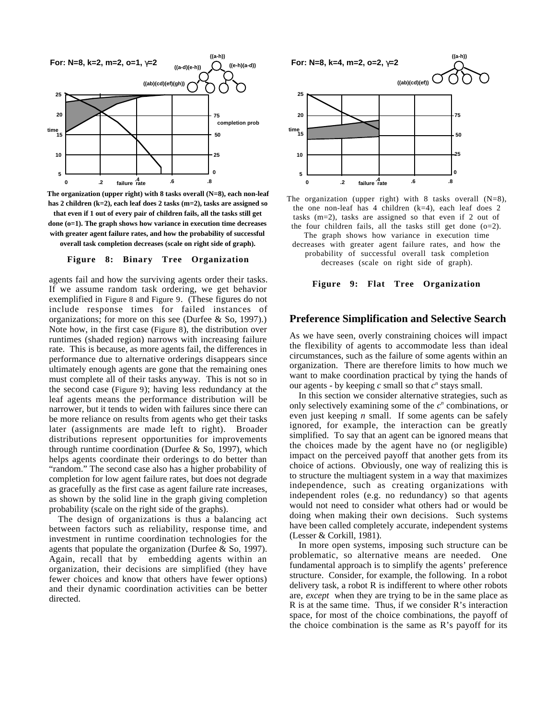

**The organization (upper right) with 8 tasks overall (N=8), each non-leaf has 2 children (k=2), each leaf does 2 tasks (m=2), tasks are assigned so that even if 1 out of every pair of children fails, all the tasks still get done (o=1). The graph shows how variance in execution time decreases with greater agent failure rates, and how the probability of successful overall task completion decreases (scale on right side of graph).**

#### **Figure 8: Binary Tree Organization**

agents fail and how the surviving agents order their tasks. If we assume random task ordering, we get behavior exemplified in Figure 8 and Figure 9. (These figures do not include response times for failed instances of organizations; for more on this see (Durfee & So, 1997).) Note how, in the first case (Figure 8), the distribution over runtimes (shaded region) narrows with increasing failure rate. This is because, as more agents fail, the differences in performance due to alternative orderings disappears since ultimately enough agents are gone that the remaining ones must complete all of their tasks anyway. This is not so in the second case (Figure 9); having less redundancy at the leaf agents means the performance distribution will be narrower, but it tends to widen with failures since there can be more reliance on results from agents who get their tasks later (assignments are made left to right). Broader distributions represent opportunities for improvements through runtime coordination (Durfee & So, 1997), which helps agents coordinate their orderings to do better than "random." The second case also has a higher probability of completion for low agent failure rates, but does not degrade as gracefully as the first case as agent failure rate increases, as shown by the solid line in the graph giving completion probability (scale on the right side of the graphs).

The design of organizations is thus a balancing act between factors such as reliability, response time, and investment in runtime coordination technologies for the agents that populate the organization (Durfee & So, 1997). Again, recall that by embedding agents within an organization, their decisions are simplified (they have fewer choices and know that others have fewer options) and their dynamic coordination activities can be better directed.



The organization (upper right) with 8 tasks overall  $(N=8)$ , the one non-leaf has  $4$  children (k=4), each leaf does  $2$ tasks (m=2), tasks are assigned so that even if 2 out of the four children fails, all the tasks still get done  $(0=2)$ .

The graph shows how variance in execution time decreases with greater agent failure rates, and how the probability of successful overall task completion

decreases (scale on right side of graph).

#### **Figure 9: Flat Tree Organization**

# **Preference Simplification and Selective Search**

As we have seen, overly constraining choices will impact the flexibility of agents to accommodate less than ideal circumstances, such as the failure of some agents within an organization. There are therefore limits to how much we want to make coordination practical by tying the hands of our agents - by keeping  $c$  small so that  $c^n$  stays small.

In this section we consider alternative strategies, such as only selectively examining some of the  $c<sup>n</sup>$  combinations, or even just keeping *n* small. If some agents can be safely ignored, for example, the interaction can be greatly simplified. To say that an agent can be ignored means that the choices made by the agent have no (or negligible) impact on the perceived payoff that another gets from its choice of actions. Obviously, one way of realizing this is to structure the multiagent system in a way that maximizes independence, such as creating organizations with independent roles (e.g. no redundancy) so that agents would not need to consider what others had or would be doing when making their own decisions. Such systems have been called completely accurate, independent systems (Lesser & Corkill, 1981).

In more open systems, imposing such structure can be problematic, so alternative means are needed. One fundamental approach is to simplify the agents' preference structure. Consider, for example, the following. In a robot delivery task, a robot R is indifferent to where other robots are, *except* when they are trying to be in the same place as R is at the same time. Thus, if we consider R's interaction space, for most of the choice combinations, the payoff of the choice combination is the same as  $R$ 's payoff for its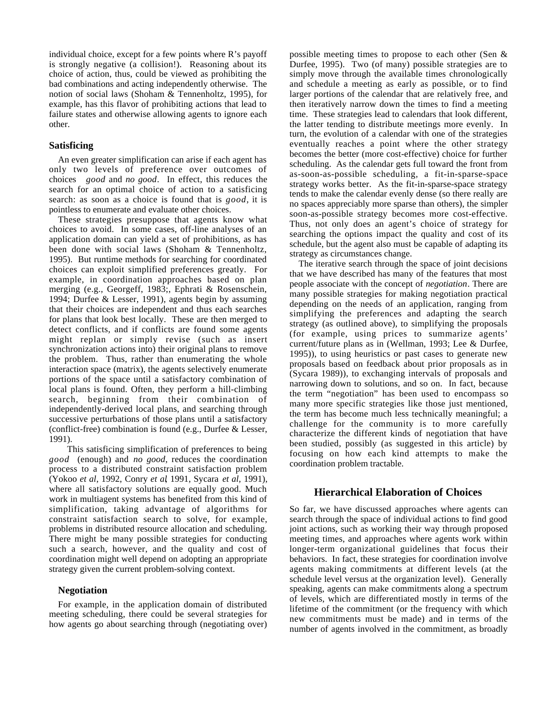individual choice, except for a few points where R's payoff is strongly negative (a collision!). Reasoning about its choice of action, thus, could be viewed as prohibiting the bad combinations and acting independently otherwise. The notion of social laws (Shoham & Tennenholtz, 1995), for example, has this flavor of prohibiting actions that lead to failure states and otherwise allowing agents to ignore each other.

## **Satisficing**

An even greater simplification can arise if each agent has only two levels of preference over outcomes of choices—good and no good. In effect, this reduces the search for an optimal choice of action to a satisficing search: as soon as a choice is found that is *good*, it is pointless to enumerate and evaluate other choices.

These strategies presuppose that agents know what choices to avoid. In some cases, off-line analyses of an application domain can yield a set of prohibitions, as has been done with social laws (Shoham & Tennenholtz, 1995). But runtime methods for searching for coordinated choices can exploit simplified preferences greatly. For example, in coordination approaches based on plan merging (e.g., Georgeff, 1983;, Ephrati & Rosenschein, 1994; Durfee & Lesser, 1991), agents begin by assuming that their choices are independent and thus each searches for plans that look best locally. These are then merged to detect conflicts, and if conflicts are found some agents might replan or simply revise (such as insert synchronization actions into) their original plans to remove the problem. Thus, rather than enumerating the whole interaction space (matrix), the agents selectively enumerate portions of the space until a satisfactory combination of local plans is found. Often, they perform a hill-climbing search, beginning from their combination of independently-derived local plans, and searching through successive perturbations of those plans until a satisfactory (conflict-free) combination is found (e.g., Durfee & Lesser, 1991).

This satisficing simplification of preferences to being *good* (enough) and *no good*, reduces the coordination process to a distributed constraint satisfaction problem (Yokoo *et al*, 1992, Conry *et al*, 1991, Sycara *et al,* 1991), where all satisfactory solutions are equally good. Much work in multiagent systems has benefited from this kind of simplification, taking advantage of algorithms for constraint satisfaction search to solve, for example, problems in distributed resource allocation and scheduling. There might be many possible strategies for conducting such a search, however, and the quality and cost of coordination might well depend on adopting an appropriate strategy given the current problem-solving context.

### **Negotiation**

For example, in the application domain of distributed meeting scheduling, there could be several strategies for how agents go about searching through (negotiating over) possible meeting times to propose to each other (Sen & Durfee, 1995). Two (of many) possible strategies are to simply move through the available times chronologically and schedule a meeting as early as possible, or to find larger portions of the calendar that are relatively free, and then iteratively narrow down the times to find a meeting time. These strategies lead to calendars that look different, the latter tending to distribute meetings more evenly. In turn, the evolution of a calendar with one of the strategies eventually reaches a point where the other strategy becomes the better (more cost-effective) choice for further scheduling. As the calendar gets full toward the front from as-soon-as-possible scheduling, a fit-in-sparse-space strategy works better. As the fit-in-sparse-space strategy tends to make the calendar evenly dense (so there really are no spaces appreciably more sparse than others), the simpler soon-as-possible strategy becomes more cost-effective. Thus, not only does an agent's choice of strategy for searching the options impact the quality and cost of its schedule, but the agent also must be capable of adapting its strategy as circumstances change.

The iterative search through the space of joint decisions that we have described has many of the features that most people associate with the concept of *negotiation*. There are many possible strategies for making negotiation practical depending on the needs of an application, ranging from simplifying the preferences and adapting the search strategy (as outlined above), to simplifying the proposals (for example, using prices to summarize agents' current/future plans as in (Wellman, 1993; Lee & Durfee, 1995)), to using heuristics or past cases to generate new proposals based on feedback about prior proposals as in (Sycara 1989)), to exchanging intervals of proposals and narrowing down to solutions, and so on. In fact, because the term "negotiation" has been used to encompass so many more specific strategies like those just mentioned, the term has become much less technically meaningful; a challenge for the community is to more carefully characterize the different kinds of negotiation that have been studied, possibly (as suggested in this article) by focusing on how each kind attempts to make the coordination problem tractable.

### **Hierarchical Elaboration of Choices**

So far, we have discussed approaches where agents can search through the space of individual actions to find good joint actions, such as working their way through proposed meeting times, and approaches where agents work within longer-term organizational guidelines that focus their behaviors. In fact, these strategies for coordination involve agents making commitments at different levels (at the schedule level versus at the organization level). Generally speaking, agents can make commitments along a spectrum of levels, which are differentiated mostly in terms of the lifetime of the commitment (or the frequency with which new commitments must be made) and in terms of the number of agents involved in the commitment, as broadly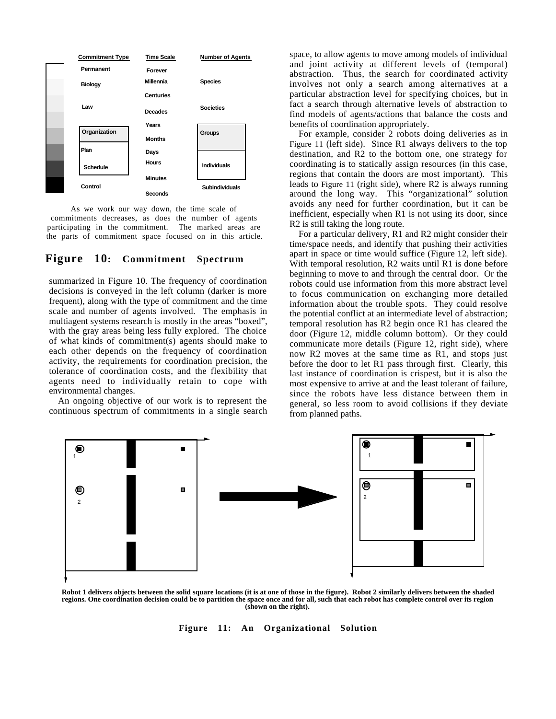

As we work our way down, the time scale of commitments decreases, as does the number of agents participating in the commitment. The marked areas are the parts of commitment space focused on in this article.

# **Figure 10: Commitment Spectrum**

summarized in Figure 10. The frequency of coordination decisions is conveyed in the left column (darker is more frequent), along with the type of commitment and the time scale and number of agents involved. The emphasis in multiagent systems research is mostly in the areas "boxed", with the gray areas being less fully explored. The choice of what kinds of commitment(s) agents should make to each other depends on the frequency of coordination activity, the requirements for coordination precision, the tolerance of coordination costs, and the flexibility that agents need to individually retain to cope with environmental changes.

An ongoing objective of our work is to represent the continuous spectrum of commitments in a single search space, to allow agents to move among models of individual and joint activity at different levels of (temporal) abstraction. Thus, the search for coordinated activity involves not only a search among alternatives at a particular abstraction level for specifying choices, but in fact a search through alternative levels of abstraction to find models of agents/actions that balance the costs and benefits of coordination appropriately.

For example, consider 2 robots doing deliveries as in Figure 11 (left side). Since R1 always delivers to the top destination, and R2 to the bottom one, one strategy for coordinating is to statically assign resources (in this case, regions that contain the doors are most important). This leads to Figure 11 (right side), where R2 is always running around the long way. This "organizational" solution avoids any need for further coordination, but it can be inefficient, especially when R1 is not using its door, since R2 is still taking the long route.

For a particular delivery, R1 and R2 might consider their time/space needs, and identify that pushing their activities apart in space or time would suffice (Figure 12, left side). With temporal resolution, R2 waits until R1 is done before beginning to move to and through the central door. Or the robots could use information from this more abstract level to focus communication on exchanging more detailed information about the trouble spots. They could resolve the potential conflict at an intermediate level of abstraction; temporal resolution has R2 begin once R1 has cleared the door (Figure 12, middle column bottom). Or they could communicate more details (Figure 12, right side), where now R2 moves at the same time as R1, and stops just before the door to let R1 pass through first. Clearly, this last instance of coordination is crispest, but it is also the most expensive to arrive at and the least tolerant of failure, since the robots have less distance between them in general, so less room to avoid collisions if they deviate from planned paths.



**Robot 1 delivers objects between the solid square locations (it is at one of those in the figure). Robot 2 similarly delivers between the shaded regions. One coordination decision could be to partition the space once and for all, such that each robot has complete control over its region (shown on the right).**

**Figure 11: An Organizational Solution**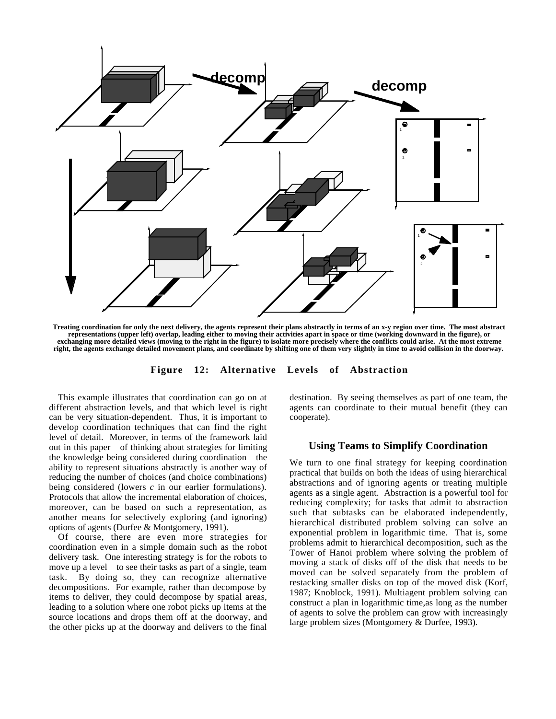

**Treating coordination for only the next delivery, the agents represent their plans abstractly in terms of an x-y region over time. The most abstract representations (upper left) overlap, leading either to moving their activities apart in space or time (working downward in the figure), or exchanging more detailed views (moving to the right in the figure) to isolate more precisely where the conflicts could arise. At the most extreme right, the agents exchange detailed movement plans, and coordinate by shifting one of them very slightly in time to avoid collision in the doorway.**

**Figure 12: Alternative Levels of Abstraction**

This example illustrates that coordination can go on at different abstraction levels, and that which level is right can be very situation-dependent. Thus, it is important to develop coordination techniques that can find the right level of detail. Moreover, in terms of the framework laid out in this paper—of thinking about strategies for limiting the knowledge being considered during coordination—the ability to represent situations abstractly is another way of reducing the number of choices (and choice combinations) being considered (lowers *c* in our earlier formulations). Protocols that allow the incremental elaboration of choices, moreover, can be based on such a representation, as another means for selectively exploring (and ignoring) options of agents (Durfee & Montgomery, 1991).

Of course, there are even more strategies for coordination even in a simple domain such as the robot delivery task. One interesting strategy is for the robots to move up a level—to see their tasks as part of a single, team task. By doing so, they can recognize alternative decompositions. For example, rather than decompose by items to deliver, they could decompose by spatial areas, leading to a solution where one robot picks up items at the source locations and drops them off at the doorway, and the other picks up at the doorway and delivers to the final

destination. By seeing themselves as part of one team, the agents can coordinate to their mutual benefit (they can cooperate).

## **Using Teams to Simplify Coordination**

We turn to one final strategy for keeping coordination practical that builds on both the ideas of using hierarchical abstractions and of ignoring agents or treating multiple agents as a single agent. Abstraction is a powerful tool for reducing complexity; for tasks that admit to abstraction such that subtasks can be elaborated independently, hierarchical distributed problem solving can solve an exponential problem in logarithmic time. That is, some problems admit to hierarchical decomposition, such as the Tower of Hanoi problem where solving the problem of moving a stack of disks off of the disk that needs to be moved can be solved separately from the problem of restacking smaller disks on top of the moved disk (Korf, 1987; Knoblock, 1991). Multiagent problem solving can construct a plan in logarithmic time,as long as the number of agents to solve the problem can grow with increasingly large problem sizes (Montgomery & Durfee, 1993).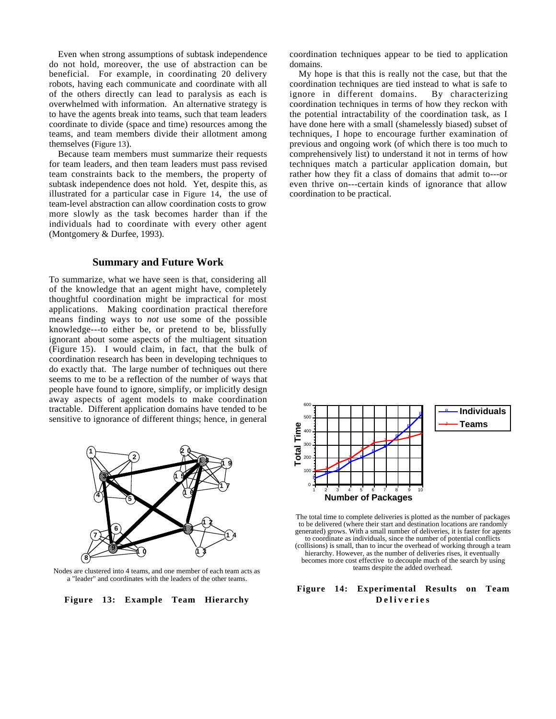Even when strong assumptions of subtask independence do not hold, moreover, the use of abstraction can be beneficial. For example, in coordinating 20 delivery robots, having each communicate and coordinate with all of the others directly can lead to paralysis as each is overwhelmed with information. An alternative strategy is to have the agents break into teams, such that team leaders coordinate to divide (space and time) resources among the teams, and team members divide their allotment among themselves (Figure 13).

Because team members must summarize their requests for team leaders, and then team leaders must pass revised team constraints back to the members, the property of subtask independence does not hold. Yet, despite this, as illustrated for a particular case in Figure 14, the use of team-level abstraction can allow coordination costs to grow more slowly as the task becomes harder than if the individuals had to coordinate with every other agent (Montgomery & Durfee, 1993).

#### **Summary and Future Work**

To summarize, what we have seen is that, considering all of the knowledge that an agent might have, completely thoughtful coordination might be impractical for most applications. Making coordination practical therefore means finding ways to *not* use some of the possible knowledge---to either be, or pretend to be, blissfully ignorant about some aspects of the multiagent situation (Figure 15). I would claim, in fact, that the bulk of coordination research has been in developing techniques to do exactly that. The large number of techniques out there seems to me to be a reflection of the number of ways that people have found to ignore, simplify, or implicitly design away aspects of agent models to make coordination tractable. Different application domains have tended to be sensitive to ignorance of different things; hence, in general



Nodes are clustered into 4 teams, and one member of each team acts as a "leader" and coordinates with the leaders of the other teams.

**Figure 13: Example Team Hierarchy**

coordination techniques appear to be tied to application domains.

My hope is that this is really not the case, but that the coordination techniques are tied instead to what is safe to ignore in different domains. By characterizing coordination techniques in terms of how they reckon with the potential intractability of the coordination task, as I have done here with a small (shamelessly biased) subset of techniques, I hope to encourage further examination of previous and ongoing work (of which there is too much to comprehensively list) to understand it not in terms of how techniques match a particular application domain, but rather how they fit a class of domains that admit to---or even thrive on---certain kinds of ignorance that allow coordination to be practical.



The total time to complete deliveries is plotted as the number of packages to be delivered (where their start and destination locations are randomly generated) grows. With a small number of deliveries, it is faster for agents to coordinate as individuals, since the number of potential conflicts (collisions) is small, than to incur the overhead of working through a team hierarchy. However, as the number of deliveries rises, it eventually becomes more cost effective to decouple much of the search by using teams despite the added overhead.

# **Figure 14: Experimental Results on Team Deliveries**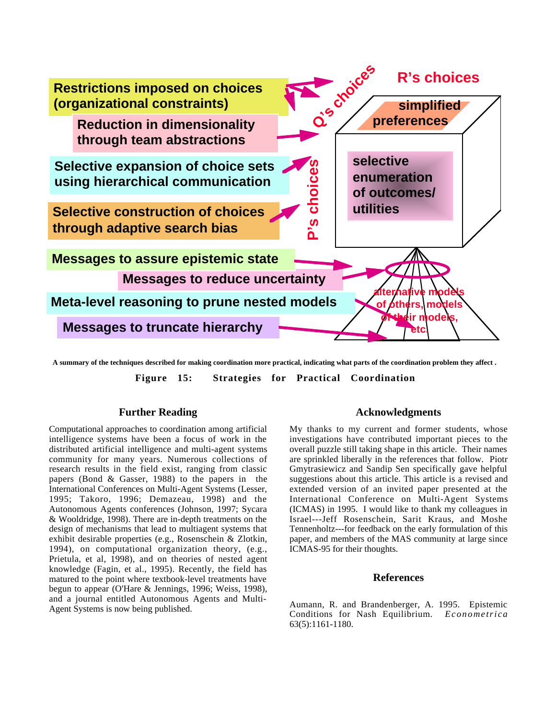

**A summary of the techniques described for making coordination more practical, indicating what parts of the coordination problem they affect .**

**Figure 15: Strategies for Practical Coordination**

# **Further Reading**

Computational approaches to coordination among artificial intelligence systems have been a focus of work in the distributed artificial intelligence and multi-agent systems community for many years. Numerous collections of research results in the field exist, ranging from classic papers (Bond & Gasser, 1988) to the papers in the International Conferences on Multi-Agent Systems (Lesser, 1995; Takoro, 1996; Demazeau, 1998) and the Autonomous Agents conferences (Johnson, 1997; Sycara & Wooldridge, 1998). There are in-depth treatments on the design of mechanisms that lead to multiagent systems that exhibit desirable properties (e.g., Rosenschein & Zlotkin, 1994), on computational organization theory, (e.g., Prietula, et al, 1998), and on theories of nested agent knowledge (Fagin, et al., 1995). Recently, the field has matured to the point where textbook-level treatments have begun to appear (O'Hare & Jennings, 1996; Weiss, 1998), and a journal entitled Autonomous Agents and Multi-Agent Systems is now being published.

# **Acknowledgments**

My thanks to my current and former students, whose investigations have contributed important pieces to the overall puzzle still taking shape in this article. Their names are sprinkled liberally in the references that follow. Piotr Gmytrasiewicz and Sandip Sen specifically gave helpful suggestions about this article. This article is a revised and extended version of an invited paper presented at the International Conference on Multi-Agent Systems (ICMAS) in 1995. I would like to thank my colleagues in Israel---Jeff Rosenschein, Sarit Kraus, and Moshe Tennenholtz---for feedback on the early formulation of this paper, and members of the MAS community at large since ICMAS-95 for their thoughts.

#### **References**

Aumann, R. and Brandenberger, A. 1995. Epistemic Conditions for Nash Equilibrium. *Econometrica* 63(5):1161-1180.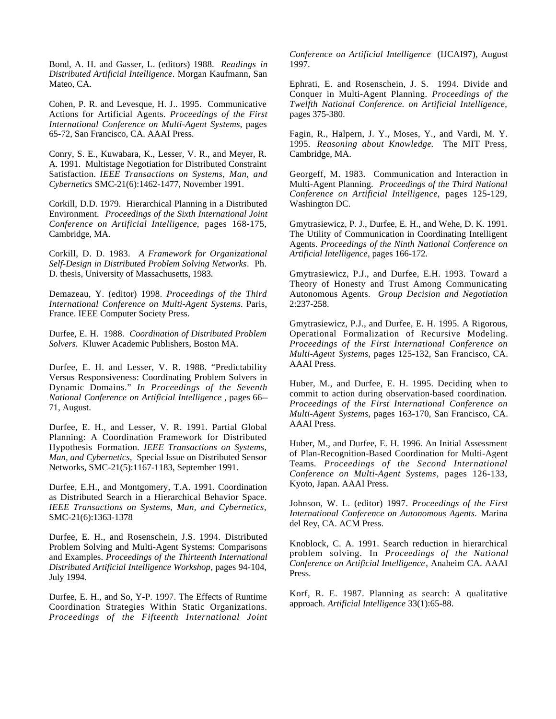Bond, A. H. and Gasser, L. (editors) 1988. *Readings in Distributed Artificial Intelligence*. Morgan Kaufmann, San Mateo, CA.

Cohen, P. R. and Levesque, H. J.. 1995. Communicative Actions for Artificial Agents. *Proceedings of the First International Conference on Multi-Agent Systems*, pages 65-72, San Francisco, CA. AAAI Press.

Conry, S. E., Kuwabara, K., Lesser, V. R., and Meyer, R. A. 1991. Multistage Negotiation for Distributed Constraint Satisfaction. *IEEE Transactions on Systems, Man, and Cybernetics* SMC-21(6):1462-1477, November 1991.

Corkill, D.D. 1979. Hierarchical Planning in a Distributed Environment. *Proceedings of the Sixth International Joint Conference on Artificial Intelligence*, pages 168-175, Cambridge, MA.

Corkill, D. D. 1983. *A Framework for Organizational Self-Design in Distributed Problem Solving Networks*. Ph. D. thesis, University of Massachusetts, 1983.

Demazeau, Y. (editor) 1998. *Proceedings of the Third International Conference on Multi-Agent Systems*. Paris, France. IEEE Computer Society Press.

Durfee, E. H. 1988. *Coordination of Distributed Problem Solvers.* Kluwer Academic Publishers, Boston MA.

Durfee, E. H. and Lesser, V. R. 1988. "Predictability Versus Responsiveness: Coordinating Problem Solvers in Dynamic Domains." *In Proceedings of the Seventh National Conference on Artificial Intelligence* , pages 66-- 71, August.

Durfee, E. H., and Lesser, V. R. 1991. Partial Global Planning: A Coordination Framework for Distributed Hypothesis Formation*. IEEE Transactions on Systems, Man, and Cybernetics*, Special Issue on Distributed Sensor Networks, SMC-21(5):1167-1183, September 1991.

Durfee, E.H., and Montgomery, T.A. 1991. Coordination as Distributed Search in a Hierarchical Behavior Space. *IEEE Transactions on Systems, Man, and Cybernetics*, SMC-21(6):1363-1378

Durfee, E. H., and Rosenschein, J.S. 1994. Distributed Problem Solving and Multi-Agent Systems: Comparisons and Examples. *Proceedings of the Thirteenth International Distributed Artificial Intelligence Workshop*, pages 94-104, July 1994.

Durfee, E. H., and So, Y-P. 1997. The Effects of Runtime Coordination Strategies Within Static Organizations. *Proceedings of the Fifteenth International Joint* *Conference on Artificial Intelligence* (IJCAI97), August 1997.

Ephrati, E. and Rosenschein, J. S. 1994. Divide and Conquer in Multi-Agent Planning. *Proceedings of the Twelfth National Conference. on Artificial Intelligence*, pages 375-380.

Fagin, R., Halpern, J. Y., Moses, Y., and Vardi, M. Y. 1995. *Reasoning about Knowledge*. The MIT Press, Cambridge, MA.

Georgeff, M. 1983. Communication and Interaction in Multi-Agent Planning. *Proceedings of the Third National Conference on Artificial Intelligence*, pages 125-129, Washington DC.

Gmytrasiewicz, P. J., Durfee, E. H., and Wehe, D. K. 1991. The Utility of Communication in Coordinating Intelligent Agents. *Proceedings of the Ninth National Conference on Artificial Intelligence*, pages 166-172.

Gmytrasiewicz, P.J., and Durfee, E.H. 1993. Toward a Theory of Honesty and Trust Among Communicating Autonomous Agents. *Group Decision and Negotiation* 2:237-258.

Gmytrasiewicz, P.J., and Durfee, E. H. 1995. A Rigorous, Operational Formalization of Recursive Modeling. *Proceedings of the First International Conference on Multi-Agent Systems*, pages 125-132, San Francisco, CA. AAAI Press.

Huber, M., and Durfee, E. H. 1995. Deciding when to commit to action during observation-based coordination*. Proceedings of the First International Conference on Multi-Agent Systems*, pages 163-170, San Francisco, CA. AAAI Press.

Huber, M., and Durfee, E. H. 1996. An Initial Assessment of Plan-Recognition-Based Coordination for Multi-Agent Teams*. Proceedings of the Second International Conference on Multi-Agent Systems*, pages 126-133, Kyoto, Japan. AAAI Press.

Johnson, W. L. (editor) 1997. *Proceedings of the First International Conference on Autonomous Agents.* Marina del Rey, CA. ACM Press.

Knoblock, C. A. 1991. Search reduction in hierarchical problem solving. In *Proceedings of the National Conference on Artificial Intelligence*, Anaheim CA. AAAI Press.

Korf, R. E. 1987. Planning as search: A qualitative approach. *Artificial Intelligence* 33(1):65-88.